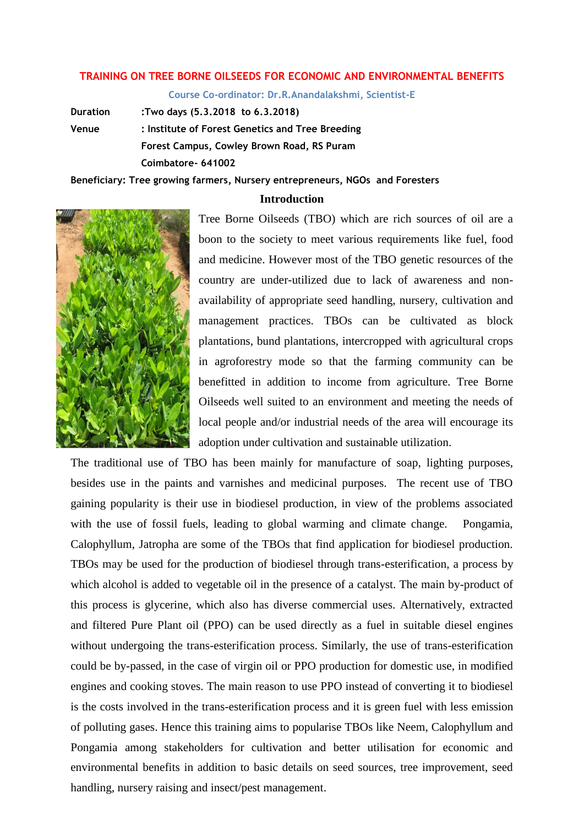## **TRAINING ON TREE BORNE OILSEEDS FOR ECONOMIC AND ENVIRONMENTAL BENEFITS**

**Course Co-ordinator: Dr.R.Anandalakshmi, Scientist-E**

**Duration :Two days (5.3.2018 to 6.3.2018) Venue : Institute of Forest Genetics and Tree Breeding Forest Campus, Cowley Brown Road, RS Puram Coimbatore- 641002**

**Beneficiary: Tree growing farmers, Nursery entrepreneurs, NGOs and Foresters** 

## **Introduction**



Tree Borne Oilseeds (TBO) which are rich sources of oil are a boon to the society to meet various requirements like fuel, food and medicine. However most of the TBO genetic resources of the country are under-utilized due to lack of awareness and nonavailability of appropriate seed handling, nursery, cultivation and management practices. TBOs can be cultivated as block plantations, bund plantations, intercropped with agricultural crops in agroforestry mode so that the farming community can be benefitted in addition to income from agriculture. Tree Borne Oilseeds well suited to an environment and meeting the needs of local people and/or industrial needs of the area will encourage its adoption under cultivation and sustainable utilization.

The traditional use of TBO has been mainly for manufacture of soap, lighting purposes, besides use in the paints and varnishes and medicinal purposes. The recent use of TBO gaining popularity is their use in biodiesel production, in view of the problems associated with the use of fossil fuels, leading to global warming and climate change. Pongamia, Calophyllum, Jatropha are some of the TBOs that find application for biodiesel production. TBOs may be used for the production of biodiesel through trans-esterification, a process by which alcohol is added to vegetable oil in the presence of a catalyst. The main by-product of this process is glycerine, which also has diverse commercial uses. Alternatively, extracted and filtered Pure Plant oil (PPO) can be used directly as a fuel in suitable diesel engines without undergoing the trans-esterification process. Similarly, the use of trans-esterification could be by-passed, in the case of virgin oil or PPO production for domestic use, in modified engines and cooking stoves. The main reason to use PPO instead of converting it to biodiesel is the costs involved in the trans-esterification process and it is green fuel with less emission of polluting gases. Hence this training aims to popularise TBOs like Neem, Calophyllum and Pongamia among stakeholders for cultivation and better utilisation for economic and environmental benefits in addition to basic details on seed sources, tree improvement, seed handling, nursery raising and insect/pest management.